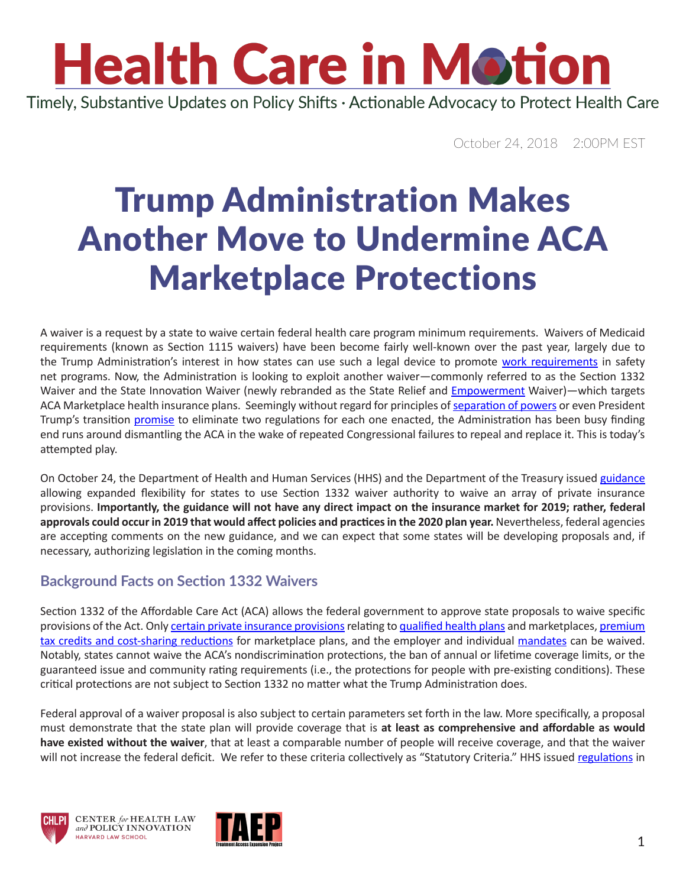### **Health Care in Motion** Timely, Substantive Updates on Policy Shifts · Actionable Advocacy to Protect Health Care

October 24, 2018 2:00PM EST

## Trump Administration Makes Another Move to Undermine ACA Marketplace Protections

A waiver is a request by a state to waive certain federal health care program minimum requirements. Waivers of Medicaid requirements (known as Section 1115 waivers) have been become fairly well-known over the past year, largely due to the Trump Administration's interest in how states can use such a legal device to promote [work requirements](https://www.chlpi.org/wp-content/uploads/2013/12/HCIM_07_02_2018.pdf) in safety net programs. Now, the Administration is looking to exploit another waiver—commonly referred to as the Section 1332 Waiver and the State Innovation Waiver (newly rebranded as the State Relief and [Empowerment](https://www.youtube.com/watch?v=xo1VInw-SKc) Waiver)—which targets ACA Marketplace health insurance plans. Seemingly without regard for principles of [separation of powers](https://www.khanacademy.org/humanities/ap-us-government-and-politics/foundations-of-american-democracy/principles-of-american-government/v/separation-of-powers-and-checks-and-balances) or even President Trump's transition [promise](https://www.forbes.com/sites/waynecrews/2016/11/22/donald-trump-promises-to-eliminate-two-regulations-for-every-one-enacted/#7f31d00a4586) to eliminate two regulations for each one enacted, the Administration has been busy finding end runs around dismantling the ACA in the wake of repeated Congressional failures to repeal and replace it. This is today's attempted play.

On October 24, the Department of Health and Human Services (HHS) and the Department of the Treasury issued [guidance](https://www.federalregister.gov/documents/2018/10/24/2018-23182/state-relief-and-empowerment-waivers) allowing expanded flexibility for states to use Section 1332 waiver authority to waive an array of private insurance provisions. **Importantly, the guidance will not have any direct impact on the insurance market for 2019; rather, federal approvals could occur in 2019 that would affect policies and practices in the 2020 plan year.** Nevertheless, federal agencies are accepting comments on the new guidance, and we can expect that some states will be developing proposals and, if necessary, authorizing legislation in the coming months.

#### **Background Facts on Section 1332 Waivers**

Section 1332 of the Affordable Care Act (ACA) allows the federal government to approve state proposals to waive specific provisions of the Act. Only [certain private insurance provisions](https://www.kff.org/health-reform/fact-sheet/tracking-section-1332-state-innovation-waivers/) relating to [qualified health plans](https://www.chlpi.org/plan-assessment/) and marketplaces, [premium](https://www.chlpi.org/wp-content/uploads/2013/12/CIDP-Open-Enrollment-1-pager.pdf)  [tax credits and cost-sharing reductions](https://www.chlpi.org/wp-content/uploads/2013/12/CIDP-Open-Enrollment-1-pager.pdf) for marketplace plans, and the employer and individual [mandates](https://www.chlpi.org/wp-content/uploads/2013/12/HCIM_09_06_2018.pdf) can be waived. Notably, states cannot waive the ACA's nondiscrimination protections, the ban of annual or lifetime coverage limits, or the guaranteed issue and community rating requirements (i.e., the protections for people with pre-existing conditions). These critical protections are not subject to Section 1332 no matter what the Trump Administration does.

Federal approval of a waiver proposal is also subject to certain parameters set forth in the law. More specifically, a proposal must demonstrate that the state plan will provide coverage that is **at least as comprehensive and affordable as would have existed without the waiver**, that at least a comparable number of people will receive coverage, and that the waiver will not increase the federal deficit. We refer to these criteria collectively as "Statutory Criteria." HHS issued [regulations](https://www.gpo.gov/fdsys/pkg/FR-2012-02-27/pdf/2012-4395.pdf) in





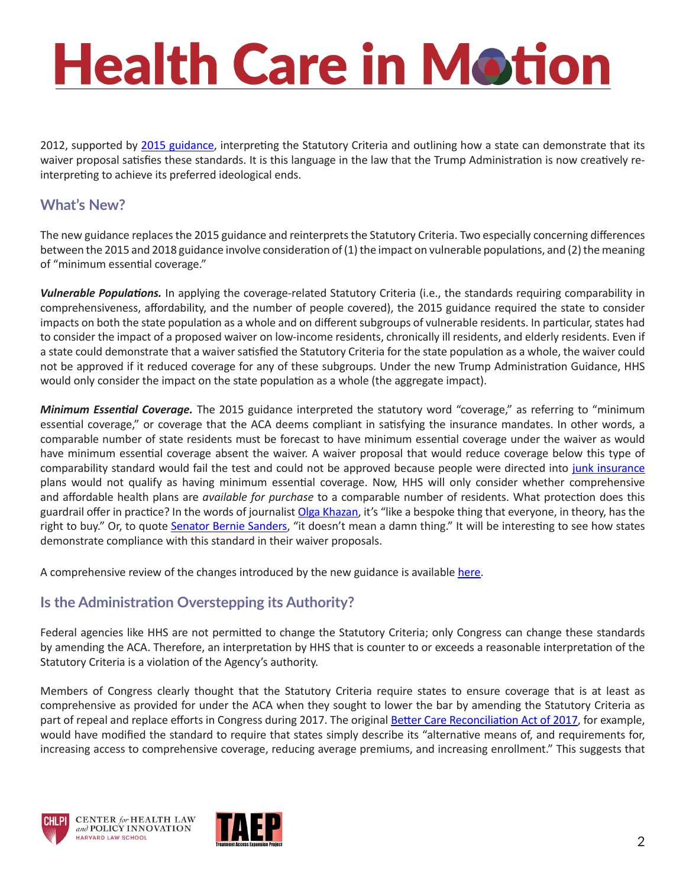# **Health Care in Motion**

2012, supported by [2015 guidance](https://www.federalregister.gov/documents/2015/12/16/2015-31563/waivers-for-state-innovation), interpreting the Statutory Criteria and outlining how a state can demonstrate that its waiver proposal satisfies these standards. It is this language in the law that the Trump Administration is now creatively reinterpreting to achieve its preferred ideological ends.

#### **What's New?**

The new guidance replaces the 2015 guidance and reinterprets the Statutory Criteria. Two especially concerning differences between the 2015 and 2018 guidance involve consideration of (1) the impact on vulnerable populations, and (2) the meaning of "minimum essential coverage."

*Vulnerable Populations.* In applying the coverage-related Statutory Criteria (i.e., the standards requiring comparability in comprehensiveness, affordability, and the number of people covered), the 2015 guidance required the state to consider impacts on both the state population as a whole and on different subgroups of vulnerable residents. In particular, states had to consider the impact of a proposed waiver on low-income residents, chronically ill residents, and elderly residents. Even if a state could demonstrate that a waiver satisfied the Statutory Criteria for the state population as a whole, the waiver could not be approved if it reduced coverage for any of these subgroups. Under the new Trump Administration Guidance, HHS would only consider the impact on the state population as a whole (the aggregate impact).

*Minimum Essential Coverage.* The 2015 guidance interpreted the statutory word "coverage," as referring to "minimum essential coverage," or coverage that the ACA deems compliant in satisfying the insurance mandates. In other words, a comparable number of state residents must be forecast to have minimum essential coverage under the waiver as would have minimum essential coverage absent the waiver. A waiver proposal that would reduce coverage below this type of comparability standard would fail the test and could not be approved because people were directed into [junk insurance](https://www.healthaffairs.org/do/10.1377/hblog20180801.169759/full/) plans would not qualify as having minimum essential coverage. Now, HHS will only consider whether comprehensive and affordable health plans are *available for purchase* to a comparable number of residents. What protection does this guardrail offer in practice? In the words of journalist [Olga Khazan,](https://www.theatlantic.com/health/archive/2017/01/price-access/514262/) it's "like a bespoke thing that everyone, in theory, has the right to buy." Or, to quote [Senator Bernie Sanders](https://www.youtube.com/watch?v=l8FBqU8YNJQ), "it doesn't mean a damn thing." It will be interesting to see how states demonstrate compliance with this standard in their waiver proposals.

A comprehensive review of the changes introduced by the new guidance is available [here](https://www.healthaffairs.org/do/10.1377/hblog20181023.512033/full/?utm_source=Newsletter&utm_medium=email&utm_content=Feds+Relax+Section+1332+Waiver+Guardrails%3B+Medical+Crowdfunding+s+Dark+Side%3B+Disparities+in+Behavioral+Health+Quality+Measures+In+Medicare+Advantage+Plans&utm_campaign=HAT%3A+10-23-18).

#### **Is the Administration Overstepping its Authority?**

Federal agencies like HHS are not permitted to change the Statutory Criteria; only Congress can change these standards by amending the ACA. Therefore, an interpretation by HHS that is counter to or exceeds a reasonable interpretation of the Statutory Criteria is a violation of the Agency's authority.

Members of Congress clearly thought that the Statutory Criteria require states to ensure coverage that is at least as comprehensive as provided for under the ACA when they sought to lower the bar by amending the Statutory Criteria as part of repeal and replace efforts in Congress during 2017. The original **Better Care Reconciliation Act of 2017**, for example, would have modified the standard to require that states simply describe its "alternative means of, and requirements for, increasing access to comprehensive coverage, reducing average premiums, and increasing enrollment." This suggests that